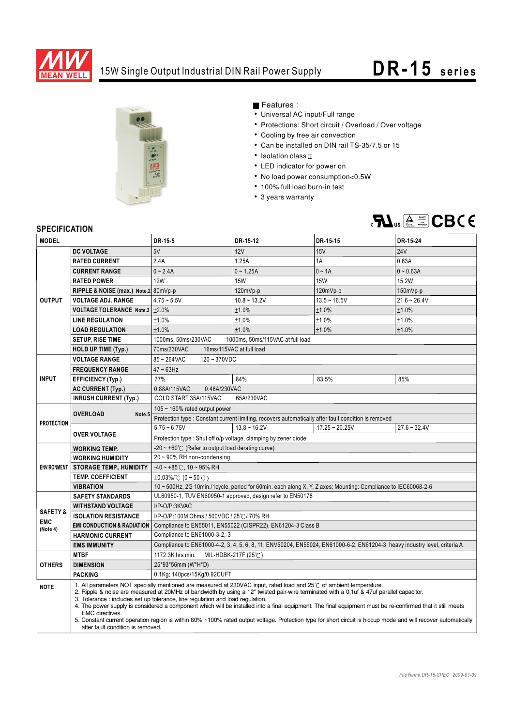

## 15W Single Output Industrial DIN Rail Power Supply **DR-15** series



Features :

- Universal AC input/Full range
- Protections: Short circuit / Overload / Over voltage
- Cooling by free air convection
- Can be installed on DIN rail TS-35/7.5 or 15
- $\cdot$  Isolation class  $\mathbb I$
- LED indicator for power on
- No load power consumption<0.5W
- 100% full load burn-in test
- 3 years warranty



## **SPECIFICATION**

| OFEVIFIUMI IUN                                |                                                                                                                                                                                                                                                                                                                                                                                                                                                                                                                                                                                                                                                                                                                                                        |                                                                                                                           |                |                  |                |
|-----------------------------------------------|--------------------------------------------------------------------------------------------------------------------------------------------------------------------------------------------------------------------------------------------------------------------------------------------------------------------------------------------------------------------------------------------------------------------------------------------------------------------------------------------------------------------------------------------------------------------------------------------------------------------------------------------------------------------------------------------------------------------------------------------------------|---------------------------------------------------------------------------------------------------------------------------|----------------|------------------|----------------|
| <b>MODEL</b>                                  |                                                                                                                                                                                                                                                                                                                                                                                                                                                                                                                                                                                                                                                                                                                                                        | DR-15-5                                                                                                                   | DR-15-12       | DR-15-15         | DR-15-24       |
| <b>OUTPUT</b>                                 | <b>DC VOLTAGE</b>                                                                                                                                                                                                                                                                                                                                                                                                                                                                                                                                                                                                                                                                                                                                      | 5V                                                                                                                        | 12V            | 15V              | <b>24V</b>     |
|                                               | <b>RATED CURRENT</b>                                                                                                                                                                                                                                                                                                                                                                                                                                                                                                                                                                                                                                                                                                                                   | 2.4A                                                                                                                      | 1.25A          | 1A               | 0.63A          |
|                                               | <b>CURRENT RANGE</b>                                                                                                                                                                                                                                                                                                                                                                                                                                                                                                                                                                                                                                                                                                                                   | $0 - 2.4A$                                                                                                                | $0 - 1.25A$    | $0 - 1A$         | $0 - 0.63A$    |
|                                               | <b>RATED POWER</b>                                                                                                                                                                                                                                                                                                                                                                                                                                                                                                                                                                                                                                                                                                                                     | <b>12W</b>                                                                                                                | <b>15W</b>     | <b>15W</b>       | 15.2W          |
|                                               | RIPPLE & NOISE (max.) Note.2 80mVp-p                                                                                                                                                                                                                                                                                                                                                                                                                                                                                                                                                                                                                                                                                                                   |                                                                                                                           | 120mVp-p       | 120mVp-p         | 150mVp-p       |
|                                               | <b>VOLTAGE ADJ. RANGE</b>                                                                                                                                                                                                                                                                                                                                                                                                                                                                                                                                                                                                                                                                                                                              | $4.75 - 5.5V$                                                                                                             | $10.8 - 13.2V$ | $13.5 - 16.5V$   | $21.6 - 26.4V$ |
|                                               | VOLTAGE TOLERANCE Note.3 ±2.0%                                                                                                                                                                                                                                                                                                                                                                                                                                                                                                                                                                                                                                                                                                                         |                                                                                                                           | ±1.0%          | ±1.0%            | ±1.0%          |
|                                               | <b>LINE REGULATION</b>                                                                                                                                                                                                                                                                                                                                                                                                                                                                                                                                                                                                                                                                                                                                 | ±1.0%                                                                                                                     | ±1.0%          | ±1.0%            | ±1.0%          |
|                                               | <b>LOAD REGULATION</b>                                                                                                                                                                                                                                                                                                                                                                                                                                                                                                                                                                                                                                                                                                                                 | $±1.0\%$                                                                                                                  | ±1.0%          | ±1.0%            | ±1.0%          |
|                                               | <b>SETUP, RISE TIME</b>                                                                                                                                                                                                                                                                                                                                                                                                                                                                                                                                                                                                                                                                                                                                | 1000ms, 50ms/230VAC<br>1000ms, 50ms/115VAC at full load                                                                   |                |                  |                |
|                                               | <b>HOLD UP TIME (Typ.)</b>                                                                                                                                                                                                                                                                                                                                                                                                                                                                                                                                                                                                                                                                                                                             | 70ms/230VAC<br>16ms/115VAC at full load                                                                                   |                |                  |                |
| <b>INPUT</b>                                  | <b>VOLTAGE RANGE</b>                                                                                                                                                                                                                                                                                                                                                                                                                                                                                                                                                                                                                                                                                                                                   | 85~264VAC<br>$120 - 370VDC$                                                                                               |                |                  |                |
|                                               | <b>FREQUENCY RANGE</b>                                                                                                                                                                                                                                                                                                                                                                                                                                                                                                                                                                                                                                                                                                                                 | $47 \sim 63$ Hz                                                                                                           |                |                  |                |
|                                               | <b>EFFICIENCY (Typ.)</b>                                                                                                                                                                                                                                                                                                                                                                                                                                                                                                                                                                                                                                                                                                                               | 77%                                                                                                                       | 84%            | 83.5%            | 85%            |
|                                               | <b>AC CURRENT (Typ.)</b>                                                                                                                                                                                                                                                                                                                                                                                                                                                                                                                                                                                                                                                                                                                               | 0.88A/115VAC<br>0.48A/230VAC                                                                                              |                |                  |                |
|                                               | <b>INRUSH CURRENT (Typ.)</b>                                                                                                                                                                                                                                                                                                                                                                                                                                                                                                                                                                                                                                                                                                                           | COLD START 35A/115VAC<br>65A/230VAC                                                                                       |                |                  |                |
| <b>PROTECTION</b>                             | <b>OVERLOAD</b><br>Note <sub>.5</sub>                                                                                                                                                                                                                                                                                                                                                                                                                                                                                                                                                                                                                                                                                                                  | 105 $\sim$ 160% rated output power                                                                                        |                |                  |                |
|                                               |                                                                                                                                                                                                                                                                                                                                                                                                                                                                                                                                                                                                                                                                                                                                                        | Protection type : Constant current limiting, recovers automatically after fault condition is removed                      |                |                  |                |
|                                               | <b>OVER VOLTAGE</b>                                                                                                                                                                                                                                                                                                                                                                                                                                                                                                                                                                                                                                                                                                                                    | $5.75 - 6.75V$                                                                                                            | $13.8 - 16.2V$ | $17.25 - 20.25V$ | $27.6 - 32.4V$ |
|                                               |                                                                                                                                                                                                                                                                                                                                                                                                                                                                                                                                                                                                                                                                                                                                                        | Protection type: Shut off o/p voltage, clamping by zener diode                                                            |                |                  |                |
| <b>ENVIRONMENT</b>                            | <b>WORKING TEMP.</b>                                                                                                                                                                                                                                                                                                                                                                                                                                                                                                                                                                                                                                                                                                                                   | -20 $\sim$ +60°C (Refer to output load derating curve)                                                                    |                |                  |                |
|                                               | <b>WORKING HUMIDITY</b>                                                                                                                                                                                                                                                                                                                                                                                                                                                                                                                                                                                                                                                                                                                                | 20~90% RH non-condensing                                                                                                  |                |                  |                |
|                                               | <b>STORAGE TEMP., HUMIDITY</b>                                                                                                                                                                                                                                                                                                                                                                                                                                                                                                                                                                                                                                                                                                                         | $-40 \sim +85^{\circ}$ C, 10 ~ 95% RH                                                                                     |                |                  |                |
|                                               | <b>TEMP. COEFFICIENT</b>                                                                                                                                                                                                                                                                                                                                                                                                                                                                                                                                                                                                                                                                                                                               | $\pm 0.03\%$ (0 ~ 50°C)                                                                                                   |                |                  |                |
|                                               | <b>VIBRATION</b>                                                                                                                                                                                                                                                                                                                                                                                                                                                                                                                                                                                                                                                                                                                                       | 10 ~ 500Hz, 2G 10min./1cycle, period for 60min. each along X, Y, Z axes; Mounting: Compliance to IEC60068-2-6             |                |                  |                |
| <b>SAFETY &amp;</b><br><b>EMC</b><br>(Note 4) | <b>SAFETY STANDARDS</b>                                                                                                                                                                                                                                                                                                                                                                                                                                                                                                                                                                                                                                                                                                                                | UL60950-1, TUV EN60950-1 approved, design refer to EN50178                                                                |                |                  |                |
|                                               | <b>WITHSTAND VOLTAGE</b>                                                                                                                                                                                                                                                                                                                                                                                                                                                                                                                                                                                                                                                                                                                               | I/P-O/P:3KVAC                                                                                                             |                |                  |                |
|                                               | <b>ISOLATION RESISTANCE</b>                                                                                                                                                                                                                                                                                                                                                                                                                                                                                                                                                                                                                                                                                                                            | I/P-O/P:100M Ohms / 500VDC / 25°C / 70% RH                                                                                |                |                  |                |
|                                               | <b>EMI CONDUCTION &amp; RADIATION</b>                                                                                                                                                                                                                                                                                                                                                                                                                                                                                                                                                                                                                                                                                                                  | Compliance to EN55011, EN55022 (CISPR22), EN61204-3 Class B                                                               |                |                  |                |
|                                               | <b>HARMONIC CURRENT</b>                                                                                                                                                                                                                                                                                                                                                                                                                                                                                                                                                                                                                                                                                                                                | Compliance to EN61000-3-2,-3                                                                                              |                |                  |                |
|                                               | <b>EMS IMMUNITY</b>                                                                                                                                                                                                                                                                                                                                                                                                                                                                                                                                                                                                                                                                                                                                    | Compliance to EN61000-4-2, 3, 4, 5, 6, 8, 11, ENV50204, EN55024, EN61000-6-2, EN61204-3, heavy industry level, criteria A |                |                  |                |
| <b>OTHERS</b>                                 | <b>MTBF</b>                                                                                                                                                                                                                                                                                                                                                                                                                                                                                                                                                                                                                                                                                                                                            | 1172.3K hrs min.<br>MIL-HDBK-217F (25 $\degree$ C)                                                                        |                |                  |                |
|                                               | <b>DIMENSION</b>                                                                                                                                                                                                                                                                                                                                                                                                                                                                                                                                                                                                                                                                                                                                       | 25*93*56mm (W*H*D)                                                                                                        |                |                  |                |
|                                               | <b>PACKING</b>                                                                                                                                                                                                                                                                                                                                                                                                                                                                                                                                                                                                                                                                                                                                         | 0.1Kg; 140pcs/15Kg/0.92CUFT                                                                                               |                |                  |                |
| <b>NOTE</b>                                   | 1. All parameters NOT specially mentioned are measured at 230VAC input, rated load and $25\degree$ of ambient temperature.<br>2. Ripple & noise are measured at 20MHz of bandwidth by using a 12" twisted pair-wire terminated with a 0.1uf & 47uf parallel capacitor.<br>3. Tolerance: includes set up tolerance, line regulation and load regulation.<br>4. The power supply is considered a component which will be installed into a final equipment. The final equipment must be re-confirmed that it still meets<br><b>EMC</b> directives.<br>5. Constant current operation region is within 60% ~100% rated output voltage. Protection type for short circuit is hiccup mode and will recover automatically<br>after fault condition is removed. |                                                                                                                           |                |                  |                |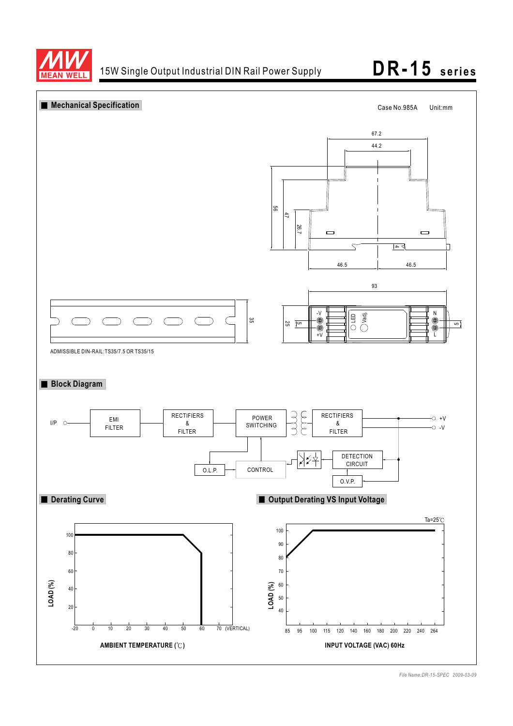